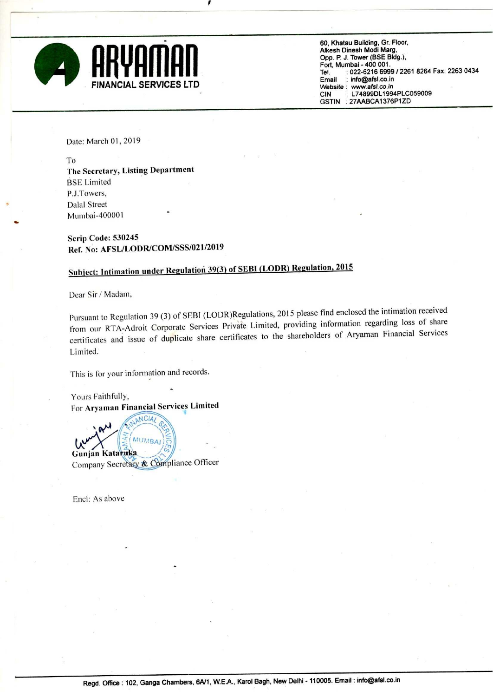

60, Khatau Building, Gr. Floor. Alkesh Dinesh Modi Marg. Opp. P. J. Tower (BSE Bldg.), Fort. Mumbai - 400 001. Tel. : 022-6216 6999 / 2261 8264 Fax: 2263 0434<br>Email : info@afsl.co.in Website : www.afsl.co.in CIN : L74899DL1994PLC059009<br>GSTIN : 27AABCA1376P1ZD : 27AABCA1376P1ZD

Date: March 01, 2019

To

The Secretary, Listing Department BSE Limited P.J.Towers, Dalal Street Mumbai-400001 '

Scrip Code: 530245 Ref. No: AFSL/LODR/COM/SSS/OZ1/2019

## Subicct: lntimation under Regulation 39(3) of SEBI (LODR) Regulation. <sup>2015</sup>

Dear Sir / Madam,

Pursuant to Regulation 39 (3) of SEBI (LODR)Regulations, 2015 please find enclosed the intimation received from our RTA-Adroit Corporate Services Private Limited, providing information regarding loss of share certificates and issue of duplicate share certificates to the shareholders of Aryaman Financial Services Limited.

This is for your information and records.

Yours Faithfully, For Aryaman Financial Services Limited €

ANCIA/

**MUMBAI** Gunjan Kataruka Company Secretary & Compliance Officer

Encl: As above